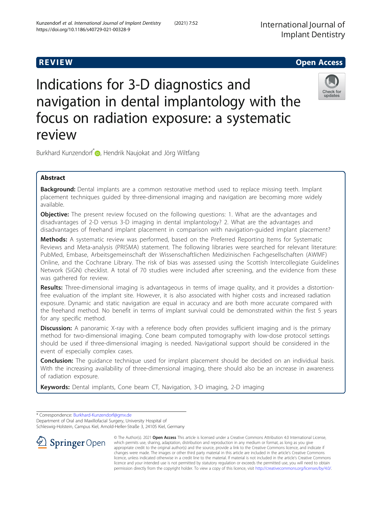Kunzendorf et al. International Journal of Implant Dentistry (2021) 7:52

# **REVIEW CONSTRUCTION CONSTRUCTION CONSTRUCTS**

# Indications for 3-D diagnostics and navigation in dental implantology with the focus on radiation exposure: a systematic review



Burkhard Kunzendorf<sup>\*</sup> , Hendrik Naujokat and Jörg Wiltfang

# Abstract

Background: Dental implants are a common restorative method used to replace missing teeth. Implant placement techniques guided by three-dimensional imaging and navigation are becoming more widely available.

**Objective:** The present review focused on the following questions: 1. What are the advantages and disadvantages of 2-D versus 3-D imaging in dental implantology? 2. What are the advantages and disadvantages of freehand implant placement in comparison with navigation-guided implant placement?

Methods: A systematic review was performed, based on the Preferred Reporting Items for Systematic Reviews and Meta-analysis (PRISMA) statement. The following libraries were searched for relevant literature: PubMed, Embase, Arbeitsgemeinschaft der Wissenschaftlichen Medizinischen Fachgesellschaften (AWMF) Online, and the Cochrane Library. The risk of bias was assessed using the Scottish Intercollegiate Guidelines Network (SiGN) checklist. A total of 70 studies were included after screening, and the evidence from these was gathered for review.

Results: Three-dimensional imaging is advantageous in terms of image quality, and it provides a distortionfree evaluation of the implant site. However, it is also associated with higher costs and increased radiation exposure. Dynamic and static navigation are equal in accuracy and are both more accurate compared with the freehand method. No benefit in terms of implant survival could be demonstrated within the first 5 years for any specific method.

**Discussion:** A panoramic X-ray with a reference body often provides sufficient imaging and is the primary method for two-dimensional imaging. Cone beam computed tomography with low-dose protocol settings should be used if three-dimensional imaging is needed. Navigational support should be considered in the event of especially complex cases.

**Conclusion:** The guidance technique used for implant placement should be decided on an individual basis. With the increasing availability of three-dimensional imaging, there should also be an increase in awareness of radiation exposure.

**Keywords:** Dental implants, Cone beam CT, Navigation, 3-D imaging, 2-D imaging

\* Correspondence: [Burkhard-Kunzendorf@gmx.de](mailto:Burkhard-Kunzendorf@gmx.de)

Department of Oral and Maxillofacial Surgery, University Hospital of Schleswig-Holstein, Campus Kiel, Arnold-Heller-Straße 3, 24105 Kiel, Germany



© The Author(s). 2021 Open Access This article is licensed under a Creative Commons Attribution 4.0 International License, which permits use, sharing, adaptation, distribution and reproduction in any medium or format, as long as you give appropriate credit to the original author(s) and the source, provide a link to the Creative Commons licence, and indicate if changes were made. The images or other third party material in this article are included in the article's Creative Commons licence, unless indicated otherwise in a credit line to the material. If material is not included in the article's Creative Commons licence and your intended use is not permitted by statutory regulation or exceeds the permitted use, you will need to obtain permission directly from the copyright holder. To view a copy of this licence, visit <http://creativecommons.org/licenses/by/4.0/>.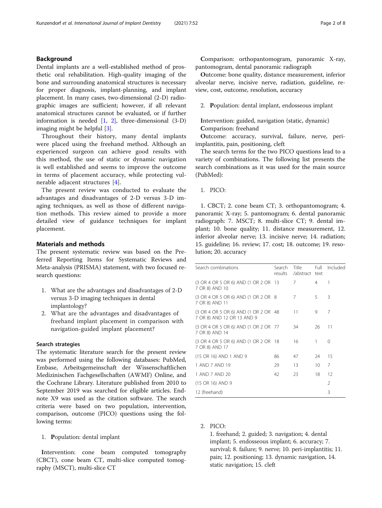### Background

Dental implants are a well-established method of prosthetic oral rehabilitation. High-quality imaging of the bone and surrounding anatomical structures is necessary for proper diagnosis, implant-planning, and implant placement. In many cases, two-dimensional (2-D) radiographic images are sufficient; however, if all relevant anatomical structures cannot be evaluated, or if further information is needed  $[1, 2]$  $[1, 2]$  $[1, 2]$ , three-dimensional  $(3-D)$ imaging might be helpful [[3\]](#page-5-0).

Throughout their history, many dental implants were placed using the freehand method. Although an experienced surgeon can achieve good results with this method, the use of static or dynamic navigation is well established and seems to improve the outcome in terms of placement accuracy, while protecting vulnerable adjacent structures [\[4](#page-5-0)].

The present review was conducted to evaluate the advantages and disadvantages of 2-D versus 3-D imaging techniques, as well as those of different navigation methods. This review aimed to provide a more detailed view of guidance techniques for implant placement.

#### Materials and methods

The present systematic review was based on the Preferred Reporting Items for Systematic Reviews and Meta-analysis (PRISMA) statement, with two focused research questions:

- 1. What are the advantages and disadvantages of 2-D versus 3-D imaging techniques in dental implantology?
- 2. What are the advantages and disadvantages of freehand implant placement in comparison with navigation-guided implant placement?

#### Search strategies

The systematic literature search for the present review was performed using the following databases: PubMed, Embase, Arbeitsgemeinschaft der Wissenschaftlichen Medizinischen Fachgesellschaften (AWMF) Online, and the Cochrane Library. Literature published from 2010 to September 2019 was searched for eligible articles. Endnote X9 was used as the citation software. The search criteria were based on two population, intervention, comparison, outcome (PICO) questions using the following terms:

1. Population: dental implant

Intervention: cone beam computed tomography (CBCT), cone beam CT, multi-slice computed tomography (MSCT), multi-slice CT

Comparison: orthopantomogram, panoramic X-ray, pantomogram, dental panoramic radiograph

Outcome: bone quality, distance measurement, inferior alveolar nerve, incisive nerve, radiation, guideline, review, cost, outcome, resolution, accuracy

2. Population: dental implant, endosseous implant

## Intervention: guided, navigation (static, dynamic) Comparison: freehand

Outcome: accuracy, survival, failure, nerve, periimplantitis, pain, positioning, cleft

The search terms for the two PICO questions lead to a variety of combinations. The following list presents the search combinations as it was used for the main source (PubMed):

1. PICO:

1. CBCT; 2. cone beam CT; 3. orthopantomogram; 4. panoramic X-ray; 5. pantomogram; 6. dental panoramic radiograph: 7. MSCT; 8. multi-slice CT; 9. dental implant; 10. bone quality; 11. distance measurement, 12. inferior alveolar nerve; 13. incisive nerve; 14. radiation; 15. guideline; 16. review; 17. cost; 18. outcome; 19. resolution; 20. accuracy

| Search combinations                                                | Search<br>results | Title<br>/abstract text | Full | Included |
|--------------------------------------------------------------------|-------------------|-------------------------|------|----------|
| (3 OR 4 OR 5 OR 6) AND (1 OR 2 OR 13<br>7 OR 8) AND 10             |                   | 7                       | 4    | 1        |
| (3 OR 4 OR 5 OR 6) AND (1 OR 2 OR 8<br>7 OR 8) AND 11              |                   | 7                       | 5    | 3        |
| (3 OR 4 OR 5 OR 6) AND (1 OR 2 OR 48<br>7 OR 8) AND 12 OR 13 AND 9 |                   | 11                      | 9    | 7        |
| (3 OR 4 OR 5 OR 6) AND (1 OR 2 OR 77<br>7 OR 8) AND 14             |                   | 34                      | 26   | 11       |
| (3 OR 4 OR 5 OR 6) AND (1 OR 2 OR 18<br>7 OR 8) AND 17             |                   | 16                      | 1    | $\Omega$ |
| (15 OR 16) AND 1 AND 9                                             | 86                | 47                      | 24   | 15       |
| 1 AND 7 AND 19                                                     | 29                | 13                      | 10   | 7        |
| 1 AND 7 AND 20                                                     | 42                | 23                      | 18   | 12       |
| (15 OR 16) AND 9                                                   |                   |                         |      | 2        |
| 12 (freehand)                                                      |                   |                         |      | 3        |

2. PICO:

1. freehand; 2. guided; 3. navigation; 4. dental implant; 5. endosseous implant; 6. accuracy; 7. survival; 8. failure; 9. nerve; 10. peri-implantitis; 11. pain; 12. positioning; 13. dynamic navigation, 14. static navigation; 15. cleft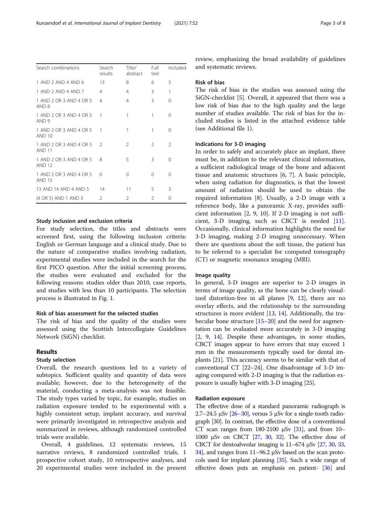| Search combinations                         | Search<br>results | Title/<br>abstract | Full<br>text  | Included      |
|---------------------------------------------|-------------------|--------------------|---------------|---------------|
| 1 AND 2 AND 4 AND 6                         | 13                | 8                  | 6             | 5             |
| 1 AND 2 AND 4 AND 7                         | 4                 | $\overline{4}$     | 3             | $\mathbf{1}$  |
| 1 AND 2 OR 3 AND 4 OR 5<br>AND 8            | $\overline{4}$    | 4                  | 3             | $\Omega$      |
| 1 AND 2 OR 3 AND 4 OR 5<br>AND <sub>9</sub> | $\mathbf{1}$      | 1                  | 1             | 0             |
| 1 AND 2 OR 3 AND 4 OR 5<br><b>AND 10</b>    | 1                 | 1                  | 1             | 0             |
| 1 AND 2 OR 3 AND 4 OR 5<br><b>AND 11</b>    | $\mathcal{L}$     | 2                  | $\mathcal{L}$ | $\mathcal{L}$ |
| 1 AND 2 OR 3 AND 4 OR 5<br><b>AND 12</b>    | 8                 | 5                  | 3             | $\Omega$      |
| 1 AND 2 OR 3 AND 4 OR 5<br><b>AND 15</b>    | $\Omega$          | $\Omega$           | $\Omega$      | $\Omega$      |
| 13 AND 14 AND 4 AND 5                       | 14                | 11                 | 5             | 3             |
| (4 OR 5) AND 1 AND 3                        | $\mathcal{P}$     | 2                  | 2             | 0             |
|                                             |                   |                    |               |               |

#### Study inclusion and exclusion criteria

For study selection, the titles and abstracts were screened first, using the following inclusion criteria: English or German language and a clinical study. Due to the nature of comparative studies involving radiation, experimental studies were included in the search for the first PICO question. After the initial screening process, the studies were evaluated and excluded for the following reasons: studies older than 2010, case reports, and studies with less than 10 participants. The selection process is illustrated in Fig. [1](#page-3-0).

#### Risk of bias assessment for the selected studies

The risk of bias and the quality of the studies were assessed using the Scottish Intercollegiate Guidelines Network (SiGN) checklist.

#### Results

#### Study selection

Overall, the research questions led to a variety of subtopics. Sufficient quality and quantity of data were available; however, due to the heterogeneity of the material, conducting a meta-analysis was not feasible. The study types varied by topic, for example, studies on radiation exposure tended to be experimental with a highly consistent setup, implant accuracy, and survival were primarily investigated in retrospective analysis and summarized in reviews, although randomized controlled trials were available.

Overall, 4 guidelines, 12 systematic reviews, 15 narrative reviews, 8 randomized controlled trials, 1 prospective cohort study, 10 retrospective analyses, and 20 experimental studies were included in the present review, emphasizing the broad availability of guidelines and systematic reviews.

#### Risk of bias

The risk of bias in the studies was assessed using the SiGN-checklist [[5\]](#page-5-0). Overall, it appeared that there was a low risk of bias due to the high quality and the large number of studies available. The risk of bias for the included studies is listed in the attached evidence table (see Additional file [1\)](#page-5-0).

#### Indications for 3-D imaging

In order to safely and accurately place an implant, there must be, in addition to the relevant clinical information, a sufficient radiological image of the bone and adjacent tissue and anatomic structures [\[6](#page-5-0), [7](#page-5-0)]. A basic principle, when using radiation for diagnostics, is that the lowest amount of radiation should be used to obtain the required information [\[8](#page-5-0)]. Usually, a 2-D image with a reference body, like a panoramic X-ray, provides sufficient information [[2,](#page-5-0) [9,](#page-5-0) [10](#page-5-0)]. If 2-D imaging is not sufficient, 3-D imaging, such as CBCT is needed [\[11](#page-5-0)]. Occasionally, clinical information highlights the need for 3-D imaging, making 2-D imaging unnecessary. When there are questions about the soft tissue, the patient has to be referred to a specialist for computed tomography (CT) or magnetic resonance imaging (MRI).

#### Image quality

In general, 3-D images are superior to 2-D images in terms of image quality, as the bone can be clearly visualized distortion-free in all planes [[9,](#page-5-0) [12\]](#page-5-0), there are no overlay effects, and the relationship to the surrounding structures is more evident [[13,](#page-5-0) [14\]](#page-6-0). Additionally, the trabecular bone structure [[15](#page-6-0)–[20](#page-6-0)] and the need for augmentation can be evaluated more accurately in 3-D imaging [[2,](#page-5-0) [9](#page-5-0), [14](#page-6-0)]. Despite these advantages, in some studies, CBCT images appear to have errors that may exceed 1 mm in the measurements typically used for dental implants [[21](#page-6-0)]. This accuracy seems to be similar with that of conventional CT [\[22](#page-6-0)–[24](#page-6-0)]. One disadvantage of 3-D imaging compared with 2-D imaging is that the radiation exposure is usually higher with 3-D imaging [\[25\]](#page-6-0).

#### Radiation exposure

The effective dose of a standard panoramic radiograph is 2.7–24.5 μSv  $[26–30]$  $[26–30]$  $[26–30]$  $[26–30]$  $[26–30]$ , versus 5 μSv for a single-tooth radiograph [\[30\]](#page-6-0). In contrast, the effective dose of a conventional CT scan ranges from 180-2100  $\mu$ Sv [\[31\]](#page-6-0), and from 10-1000 μSv on CBCT [\[27](#page-6-0), [30,](#page-6-0) [32\]](#page-6-0). The effective dose of CBCT for dentoalveolar imaging is  $11-674 \mu Sv$   $[27, 30, 33, 40]$  $[27, 30, 33, 40]$  $[27, 30, 33, 40]$  $[27, 30, 33, 40]$  $[27, 30, 33, 40]$  $[27, 30, 33, 40]$ [34](#page-6-0)], and ranges from 11–96.2 μSv based on the scan protocols used for implant planning [[35](#page-6-0)]. Such a wide range of effective doses puts an emphasis on patient- [[36\]](#page-6-0) and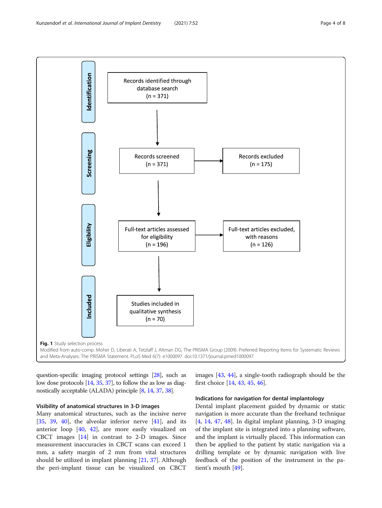<span id="page-3-0"></span>

question-specific imaging protocol settings [[28](#page-6-0)], such as low dose protocols [\[14](#page-6-0), [35](#page-6-0), [37](#page-6-0)], to follow the as low as diagnostically acceptable (ALADA) principle [\[8,](#page-5-0) [14,](#page-6-0) [37,](#page-6-0) [38\]](#page-6-0).

### Visibility of anatomical structures in 3-D images

Many anatomical structures, such as the incisive nerve [[35,](#page-6-0) [39](#page-6-0), [40](#page-6-0)], the alveolar inferior nerve [\[41](#page-6-0)], and its anterior loop [\[40,](#page-6-0) [42\]](#page-6-0), are more easily visualized on CBCT images [\[14](#page-6-0)] in contrast to 2-D images. Since measurement inaccuracies in CBCT scans can exceed 1 mm, a safety margin of 2 mm from vital structures should be utilized in implant planning [\[21](#page-6-0), [37\]](#page-6-0). Although the peri-implant tissue can be visualized on CBCT

images [\[43](#page-6-0), [44\]](#page-6-0), a single-tooth radiograph should be the first choice [\[14,](#page-6-0) [43,](#page-6-0) [45,](#page-6-0) [46\]](#page-6-0).

### Indications for navigation for dental implantology

Dental implant placement guided by dynamic or static navigation is more accurate than the freehand technique [[4,](#page-5-0) [14](#page-6-0), [47](#page-6-0), [48\]](#page-6-0). In digital implant planning, 3-D imaging of the implant site is integrated into a planning software, and the implant is virtually placed. This information can then be applied to the patient by static navigation via a drilling template or by dynamic navigation with live feedback of the position of the instrument in the patient's mouth [\[49](#page-6-0)].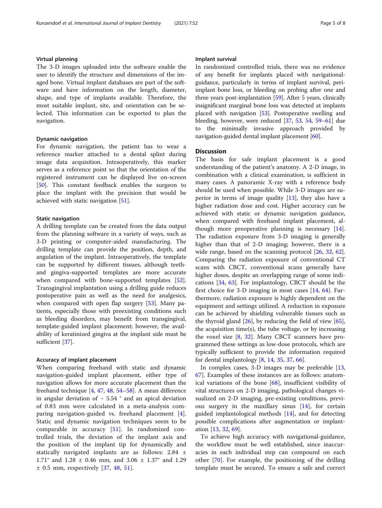#### Virtual planning

The 3-D images uploaded into the software enable the user to identify the structure and dimensions of the imaged bone. Virtual implant databases are part of the software and have information on the length, diameter, shape, and type of implants available. Therefore, the most suitable implant, site, and orientation can be selected. This information can be exported to plan the navigation.

#### Dynamic navigation

For dynamic navigation, the patient has to wear a reference marker attached to a dental splint during image data acquisition. Intraoperatively, this marker serves as a reference point so that the orientation of the registered instrument can be displayed live on-screen [[50\]](#page-6-0). This constant feedback enables the surgeon to place the implant with the precision that would be achieved with static navigation [\[51](#page-6-0)].

#### Static navigation

A drilling template can be created from the data output from the planning software in a variety of ways, such as 3-D printing or computer-aided manufacturing. The drilling template can provide the position, depth, and angulation of the implant. Intraoperatively, the template can be supported by different tissues, although teethand gingiva-supported templates are more accurate when compared with bone-supported templates [\[52](#page-6-0)]. Transgingival implantation using a drilling guide reduces postoperative pain as well as the need for analgesics, when compared with open flap surgery [[53](#page-7-0)]. Many patients, especially those with preexisting conditions such as bleeding disorders, may benefit from transgingival, template-guided implant placement; however, the availability of keratinized gingiva at the implant side must be sufficient [\[37\]](#page-6-0).

#### Accuracy of implant placement

When comparing freehand with static and dynamic navigation-guided implant placement, either type of navigation allows for more accurate placement than the freehand technique [[4](#page-5-0), [47](#page-6-0), [48](#page-6-0), [54](#page-7-0)–[58\]](#page-7-0). A mean difference in angular deviation of − 5.54 ° and an apical deviation of 0.83 mm were calculated in a meta-analysis comparing navigation-guided vs. freehand placement [\[4](#page-5-0)]. Static and dynamic navigation techniques seem to be comparable in accuracy [\[51](#page-6-0)]. In randomized controlled trials, the deviation of the implant axis and the position of the implant tip for dynamically and statically navigated implants are as follows: 2.84 ± 1.71° and 1.28 ± 0.46 mm, and 3.06 ± 1.37° and 1.29  $± 0.5$  mm, respectively [[37,](#page-6-0) [48](#page-6-0), [51](#page-6-0)].

#### Implant survival

In randomized controlled trials, there was no evidence of any benefit for implants placed with navigationalguidance, particularly in terms of implant survival, periimplant bone loss, or bleeding on probing after one and three years post-implantation [\[59\]](#page-7-0). After 5 years, clinically insignificant marginal bone loss was detected at implants placed with navigation [[53](#page-7-0)]. Postoperative swelling and bleeding, however, were reduced [\[37,](#page-6-0) [53](#page-7-0), [54,](#page-7-0) [59](#page-7-0)–[61\]](#page-7-0) due to the minimally invasive approach provided by navigation-guided dental implant placement [[60\]](#page-7-0).

#### **Discussion**

The basis for safe implant placement is a good understanding of the patient's anatomy. A 2-D image, in combination with a clinical examination, is sufficient in many cases. A panoramic X-ray with a reference body should be used when possible. While 3-D images are superior in terms of image quality  $[13]$  $[13]$ , they also have a higher radiation dose and cost. Higher accuracy can be achieved with static or dynamic navigation guidance, when compared with freehand implant placement, although more preoperative planning is necessary [\[14](#page-6-0)]. The radiation exposure from 3-D imaging is generally higher than that of 2-D imaging; however, there is a wide range, based on the scanning protocol [[26](#page-6-0), [32,](#page-6-0) [62](#page-7-0)]. Comparing the radiation exposure of conventional CT scans with CBCT, conventional scans generally have higher doses, despite an overlapping range of some indications [\[34](#page-6-0), [63](#page-7-0)]. For implantology, CBCT should be the first choice for 3-D imaging in most cases [[14,](#page-6-0) [64](#page-7-0)]. Furthermore, radiation exposure is highly dependent on the equipment and settings utilized. A reduction in exposure can be achieved by shielding vulnerable tissues such as the thyroid gland  $[26]$  $[26]$ , by reducing the field of view  $[65]$  $[65]$ , the acquisition time(s), the tube voltage, or by increasing the voxel size [\[8](#page-5-0), [32](#page-6-0)]. Many CBCT scanners have programmed these settings as low-dose protocols, which are typically sufficient to provide the information required for dental implantology [[8,](#page-5-0) [14,](#page-6-0) [35,](#page-6-0) [37,](#page-6-0) [66](#page-7-0)].

In complex cases, 3-D images may be preferable [[13](#page-5-0), [67\]](#page-7-0). Examples of these instances are as follows: anatomical variations of the bone [[68](#page-7-0)], insufficient visibility of vital structures on 2-D imaging, pathological changes visualized on 2-D imaging, pre-existing conditions, previous surgery in the maxillary sinus [[14](#page-6-0)], for certain guided implantological methods  $[14]$  $[14]$ , and for detecting possible complications after augmentation or implantation [\[13](#page-5-0), [32](#page-6-0), [69](#page-7-0)].

To achieve high accuracy with navigational-guidance, the workflow must be well established, since inaccuracies in each individual step can compound on each other [[70\]](#page-7-0). For example, the positioning of the drilling template must be secured. To ensure a safe and correct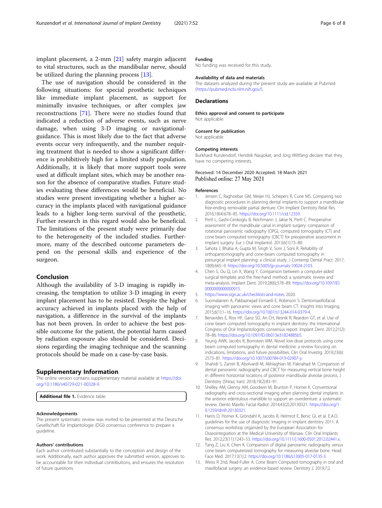<span id="page-5-0"></span>implant placement, a 2-mm [\[21](#page-6-0)] safety margin adjacent to vital structures, such as the mandibular nerve, should be utilized during the planning process [13].

The use of navigation should be considered in the following situations: for special prosthetic techniques like immediate implant placement, as support for minimally invasive techniques, or after complex jaw reconstructions [[71](#page-7-0)]. There were no studies found that indicated a reduction of adverse events, such as nerve damage, when using 3-D imaging or navigationalguidance. This is most likely due to the fact that adverse events occur very infrequently, and the number requiring treatment that is needed to show a significant difference is prohibitively high for a limited study population. Additionally, it is likely that more support tools were used at difficult implant sites, which may be another reason for the absence of comparative studies. Future studies evaluating these differences would be beneficial. No studies were present investigating whether a higher accuracy in the implants placed with navigational guidance leads to a higher long-term survival of the prosthetic. Further research in this regard would also be beneficial. The limitations of the present study were primarily due to the heterogeneity of the included studies. Furthermore, many of the described outcome parameters depend on the personal skills and experience of the surgeon.

#### Conclusion

Although the availability of 3-D imaging is rapidly increasing, the temptation to utilize 3-D imaging in every implant placement has to be resisted. Despite the higher accuracy achieved in implants placed with the help of navigation, a difference in the survival of the implants has not been proven. In order to achieve the best possible outcome for the patient, the potential harm caused by radiation exposure also should be considered. Decisions regarding the imaging technique and the scanning protocols should be made on a case-by-case basis.

#### Supplementary Information

The online version contains supplementary material available at [https://doi.](https://doi.org/10.1186/s40729-021-00328-9) [org/10.1186/s40729-021-00328-9.](https://doi.org/10.1186/s40729-021-00328-9)

Additional file 1. Evidence table

#### Acknowledgements

The present systematic review was invited to be presented at the Deutsche Gesellschaft für Implantologie (DGI) consensus conference to prepare a guideline.

#### Authors' contributions

Each author contributed substantially to the conception and design of the work. Additionally, each author approves the submitted version, approves to be accountable for their individual contributions, and ensures the resolution of future questions.

#### Funding

No funding was received for this study.

#### Availability of data and materials

The datasets analyzed during the present study are available at Pubmed (<https://pubmed.ncbi.nlm.nih.gov/>).

#### **Declarations**

Ethics approval and consent to participate Not applicable

#### Consent for publication

Not applicable

#### Competing interests

Burkhard Kunzendorf, Hendrik Naujokat, and Jörg Wiltfang declare that they have no competing interests.

#### Received: 14 December 2020 Accepted: 18 March 2021 Published online: 27 May 2021

#### References

- 1. Jensen C, Raghoebar GM, Meijer HJ, Schepers R, Cune MS. Comparing two diagnostic procedures in planning dental implants to support a mandibular free-ending removable partial denture. Clin Implant Dentistry Relat Res. 2016;18(4):678–85. [https://doi.org/10.1111/cid.12359.](https://doi.org/10.1111/cid.12359)
- 2. Pertl L, Gashi-Cenkoglu B, Reichmann J, Jakse N, Pertl C. Preoperative assessment of the mandibular canal in implant surgery: comparison of rotational panoramic radiography (OPG), computed tomography (CT) and cone beam computed tomography (CBCT) for preoperative assessment in implant surgery. Eur J Oral Implantol. 2013;6(1):73–80.
- 3. Sahota J, Bhatia A, Gupta M, Singh V, Soni J, Soni R. Reliability of orthopantomography and cone-beam computed tomography in presurgical implant planning: a clinical study. J Contemp Dental Pract. 2017; 18(8):665–9. [https://doi.org/10.5005/jp-journals-10024-2103.](https://doi.org/10.5005/jp-journals-10024-2103)
- 4. Chen S, Ou Q, Lin X, Wang Y. Comparison between a computer-aided surgical template and the free-hand method: a systematic review and meta-analysis. Implant Dent. 2019;28(6):578–89. [https://doi.org/10.1097/ID.](https://doi.org/10.1097/ID.0000000000000915) [0000000000000915](https://doi.org/10.1097/ID.0000000000000915).
- 5. <https://www.sign.ac.uk/checklists-and-notes> 2020.
- 6. Suomalainen A, Pakbaznejad Esmaeili E, Robinson S. Dentomaxillofacial imaging with panoramic views and cone beam CT. Insights Into Imaging. 2015;6(1):1–16. [https://doi.org/10.1007/s13244-014-0379-4.](https://doi.org/10.1007/s13244-014-0379-4)
- 7. Benavides E, Rios HF, Ganz SD, An CH, Resnik R, Reardon GT, et al. Use of cone beam computed tomography in implant dentistry: the International Congress of Oral Implantologists consensus report. Implant Dent. 2012;21(2): 78–86. <https://doi.org/10.1097/ID.0b013e31824885b5>.
- 8. Yeung AWK, Jacobs R, Bornstein MM. Novel low-dose protocols using cone beam computed tomography in dental medicine: a review focusing on indications, limitations, and future possibilities. Clin Oral Investig. 2019;23(6): 2573–81. [https://doi.org/10.1007/s00784-019-02907-y.](https://doi.org/10.1007/s00784-019-02907-y)
- 9. Shahidi S, Zamiri B, Abolvardi M, Akhlaghian M, Paknahad M. Comparison of dental panoramic radiography and CBCT for measuring vertical bone height in different horizontal locations of posterior mandibular alveolar process. J Dentistry (Shiraz, Iran). 2018;19(2):83–91.
- 10. Shelley AM, Glenny AM, Goodwin M, Brunton P, Horner K. Conventional radiography and cross-sectional imaging when planning dental implants in the anterior edentulous mandible to support an overdenture: a systematic review. Dento Maxillo Facial Radiol. 2014;43(2):20130321. [https://doi.org/1](https://doi.org/10.1259/dmfr.20130321) [0.1259/dmfr.20130321.](https://doi.org/10.1259/dmfr.20130321)
- 11. Harris D, Horner K, Gröndahl K, Jacobs R, Helmrot E, Benic GI, et al. E.A.O. guidelines for the use of diagnostic imaging in implant dentistry 2011. A consensus workshop organized by the European Association for Osseointegration at the Medical University of Warsaw. Clin Oral Implants Res. 2012;23(11):1243–53. [https://doi.org/10.1111/j.1600-0501.2012.02441.x.](https://doi.org/10.1111/j.1600-0501.2012.02441.x)
- 12. Tang Z, Liu X, Chen K. Comparison of digital panoramic radiography versus cone beam computerized tomography for measuring alveolar bone. Head Face Med. 2017;13(1):2. <https://doi.org/10.1186/s13005-017-0135-3>.
- 13. Weiss R 2nd, Read-Fuller A. Cone Beam Computed tomography in oral and maxillofacial surgery: an evidence-based review. Dentistry J. 2019;7:2.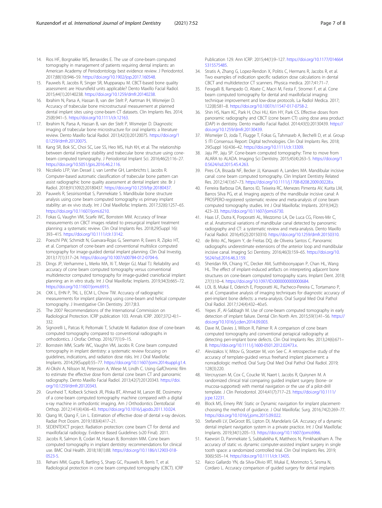- <span id="page-6-0"></span>14. Rios HF, Borgnakke WS, Benavides E. The use of cone-beam computed tomography in management of patients requiring dental implants: an American Academy of Periodontology best evidence review. J Periodontol. 2017;88(10):946–59. [https://doi.org/10.1902/jop.2017.160548.](https://doi.org/10.1902/jop.2017.160548)
- 15. Pauwels R, Jacobs R, Singer SR, Mupparapu M. CBCT-based bone quality assessment: are Hounsfield units applicable? Dento Maxillo Facial Radiol. 2015;44(1):20140238. [https://doi.org/10.1259/dmfr.20140238.](https://doi.org/10.1259/dmfr.20140238)
- 16. Ibrahim N, Parsa A, Hassan B, van der Stelt P, Aartman IH, Wismeijer D. Accuracy of trabecular bone microstructural measurement at planned dental implant sites using cone-beam CT datasets. Clin Implants Res. 2014; 25(8):941–5. [https://doi.org/10.1111/clr.12163.](https://doi.org/10.1111/clr.12163)
- 17. Ibrahim N, Parsa A, Hassan B, van der Stelt P, Wismeijer D. Diagnostic imaging of trabecular bone microstructure for oral implants: a literature review. Dento Maxillo facial Radiol. 2013;42(3):20120075. [https://doi.org/1](https://doi.org/10.1259/dmfr.20120075) [0.1259/dmfr.20120075](https://doi.org/10.1259/dmfr.20120075).
- 18. Kang SR, Bok SC, Choi SC, Lee SS, Heo MS, Huh KH, et al. The relationship between dental implant stability and trabecular bone structure using conebeam computed tomography. J Periodontal Implant Sci. 2016;46(2):116–27. <https://doi.org/10.5051/jpis.2016.46.2.116>.
- 19. Nicolielo LFP, Van Dessel J, van Lenthe GH, Lambrichts I, Jacobs R. Computer-based automatic classification of trabecular bone pattern can assist radiographic bone quality assessment at dental implant site. Br J Radiol. 2018;91(1092):20180437. <https://doi.org/10.1259/bjr.20180437>.
- 20. Pauwels R, Sessirisombat S, Panmekiate S. Mandibular bone structure analysis using cone beam computed tomography vs primary implant stability: an ex vivo study. Int J Oral Maxillofac Implants. 2017;32(6):1257–65. [https://doi.org/10.11607/jomi.6210.](https://doi.org/10.11607/jomi.6210)
- 21. Fokas G, Vaughn VM, Scarfe WC, Bornstein MM. Accuracy of linear measurements on CBCT images related to presurgical implant treatment planning: a systematic review. Clin Oral Implants Res. 2018;29(Suppl 16): 393–415. <https://doi.org/10.1111/clr.13142>.
- 22. Poeschl PW, Schmidt N, Guevara-Rojas G, Seemann R, Ewers R, Zipko HT, et al. Comparison of cone-beam and conventional multislice computed tomography for image-guided dental implant planning. Clin Oral Investig. 2013;17(1):317–24. <https://doi.org/10.1007/s00784-012-0704-6>.
- 23. Dings JP, Verhamme L, Merkx MA, Xi T, Meijer GJ, Maal TJ. Reliability and accuracy of cone beam computed tomography versus conventional multidetector computed tomography for image-guided craniofacial implant planning: an in vitro study. Int J Oral Maxillofac Implants. 2019;34(3):665–72. [https://doi.org/10.11607/jomi.6915.](https://doi.org/10.11607/jomi.6915)
- 24. CKK L, EHN P, TKL L, ECM L, Chow TW. Accuracy of radiographic measurements for implant planning using cone-beam and helical computer tomography. J Investigative Clin Dentistry. 2017;8:3.
- 25. The 2007 Recommendations of the International Commission on Radiological Protection. ICRP publication 103. Annals ICRP. 2007;37(2-4):1– 332.
- 26. Signorelli L, Patcas R, Peltomaki T, Schatzle M. Radiation dose of cone-beam computed tomography compared to conventional radiographs in orthodontics. J Orofac Orthop. 2016;77(1):9–15.
- 27. Bornstein MM, Scarfe WC, Vaughn VM, Jacobs R. Cone beam computed tomography in implant dentistry: a systematic review focusing on guidelines, indications, and radiation dose risks. Int J Oral Maxillofac Implants. 2014;29(Suppl):55–77. <https://doi.org/10.11607/jomi.2014suppl.g1.4>.
- 28. Al-Okshi A, Nilsson M, Petersson A, Wiese M, Lindh C. Using GafChromic film to estimate the effective dose from dental cone beam CT and panoramic radiography. Dento Maxillo Facial Radiol. 2013;42(7):20120343. [https://doi.](https://doi.org/10.1259/dmfr.20120343) [org/10.1259/dmfr.20120343](https://doi.org/10.1259/dmfr.20120343).
- 29. Grunheid T, Kolbeck Schieck JR, Pliska BT, Ahmad M, Larson BE. Dosimetry of a cone-beam computed tomography machine compared with a digital x-ray machine in orthodontic imaging. Am J Orthodontics Dentofacial Orthop. 2012;141(4):436–43. <https://doi.org/10.1016/j.ajodo.2011.10.024>.
- 30. Qiang W, Qiang F, Lin L. Estimation of effective dose of dental x-ray devices. Radiat Prot Dosim. 2019;183(4):417–21.
- 31. SEDENTEXCT project. Radiation protection: cone beam CT for dental and maxillofacial radiology. Evidence Based Guidelines (v20 Final). 2011.
- 32. Jacobs R, Salmon B, Codari M, Hassan B, Bornstein MM. Cone beam computed tomography in implant dentistry: recommendations for clinical use. BMC Oral Health. 2018;18(1):88. [https://doi.org/10.1186/s12903-018-](https://doi.org/10.1186/s12903-018-0523-5) [0523-5.](https://doi.org/10.1186/s12903-018-0523-5)
- 33. Rehani MM, Gupta R, Bartling S, Sharp GC, Pauwels R, Berris T, et al. Radiological protection in cone beam computed tomography (CBCT). ICRP

Publication 129. Ann ICRP. 2015;44(1):9–127. [https://doi.org/10.1177/014664](https://doi.org/10.1177/0146645315575485) [5315575485.](https://doi.org/10.1177/0146645315575485)

- 34. Stratis A, Zhang G, Lopez-Rendon X, Politis C, Hermans R, Jacobs R, et al. Two examples of indication specific radiation dose calculations in dental CBCT and multidetector CT scanners. Physica medica. 2017;41:71–7.
- 35. Feragalli B, Rampado O, Abate C, Macri M, Festa F, Stromei F, et al. Cone beam computed tomography for dental and maxillofacial imaging: technique improvement and low-dose protocols. La Radiol Medica. 2017; 122(8):581–8. <https://doi.org/10.1007/s11547-017-0758-2>.
- 36. Shin HS, Nam KC, Park H, Choi HU, Kim HY, Park CS. Effective doses from panoramic radiography and CBCT (cone beam CT) using dose area product (DAP) in dentistry. Dento maxillo Facial Radiol. 2014;43(5):20130439. [https://](https://doi.org/10.1259/dmfr.20130439) [doi.org/10.1259/dmfr.20130439](https://doi.org/10.1259/dmfr.20130439).
- 37. Wismeijer D, Joda T, Flugge T, Fokas G, Tahmaseb A, Bechelli D, et al. Group 5 ITI Consensus Report: Digital technologies. Clin Oral Implants Res. 2018; 29(Suppl 16):436–42. [https://doi.org/10.1111/clr.13309.](https://doi.org/10.1111/clr.13309)
- 38. Jaju PP, Jaju SP. Cone-beam computed tomography: Time to move from ALARA to ALADA. Imaging Sci Dentistry. 2015;45(4):263–5. [https://doi.org/1](https://doi.org/10.5624/isd.2015.45.4.263) [0.5624/isd.2015.45.4.263](https://doi.org/10.5624/isd.2015.45.4.263).
- 39. Pires CA, Bissada NF, Becker JJ, Kanawati A, Landers MA. Mandibular incisive canal: cone beam computed tomography. Clin Implant Dentistry Related Res. 2012;14(1):67–73. [https://doi.org/10.1111/j.1708-8208.2009.00228.x.](https://doi.org/10.1111/j.1708-8208.2009.00228.x)
- 40. Ferreira Barbosa DA, Barros ID, Teixeira RC, Menezes Pimenta AV, Kurita LM, Barros Silva PG, et al. Imaging aspects of the mandibular incisive canal: A PROSPERO-registered systematic review and meta-analysis of cone beam computed tomography studies. Int J Oral Maxillofac Implants. 2019;34(2): 423–33. [https://doi.org/10.11607/jomi.6730.](https://doi.org/10.11607/jomi.6730)
- 41. Haas LF, Dutra K, Porporatti AL, Mezzomo LA, De Luca CG, Flores-Mir C, et al. Anatomical variations of mandibular canal detected by panoramic radiography and CT: a systematic review and meta-analysis. Dento Maxillo Facial Radiol. 2016;45(2):20150310. <https://doi.org/10.1259/dmfr.20150310>.
- 42. de Brito AC, Nejaim Y, de Freitas DQ, de Oliveira Santos C. Panoramic radiographs underestimate extensions of the anterior loop and mandibular incisive canal. Imaging Sci Dentistry. 2016;46(3):159–65. [https://doi.org/10.](https://doi.org/10.5624/isd.2016.46.3.159) [5624/isd.2016.46.3.159.](https://doi.org/10.5624/isd.2016.46.3.159)
- 43. Sheridan RA, Chiang YC, Decker AM, Sutthiboonyapan P, Chan HL, Wang HL. The effect of implant-induced artifacts on interpreting adjacent bone structures on cone-beam computed tomography scans. Implant Dent. 2018; 27(1):10–4. <https://doi.org/10.1097/ID.0000000000000684>.
- 44. LOL B, Mukai E, Oderich E, Porporatti AL, Pacheco-Pereira C, Tortamano P, et al. Comparative analysis of imaging techniques for diagnostic accuracy of peri-implant bone defects: a meta-analysis. Oral Surgral Med Oral Pathol Oral Radiol. 2017;124(4):432–40.e5.
- 45. Yepes JF, Al-Sabbagh M. Use of cone-beam computed tomography in early detection of implant failure. Dental Clin North Am. 2015;59(1):41–56. [https://](https://doi.org/10.1016/j.cden.2014.09.003) [doi.org/10.1016/j.cden.2014.09.003](https://doi.org/10.1016/j.cden.2014.09.003).
- 46. Dave M, Davies J, Wilson R, Palmer R. A comparison of cone beam computed tomography and conventional periapical radiography at detecting peri-implant bone defects. Clin Oral Implants Res. 2013;24(6):671– 8. <https://doi.org/10.1111/j.1600-0501.2012.02473.x>.
- 47. Alevizakos V, Mitov G, Stoetzer M, von See C. A retrospective study of the accuracy of template-guided versus freehand implant placement: a nonradiologic method. Oral Surg Oral Med Oral Pathol Oral Radiol. 2019; 128(3):220.
- 48. Vercruyssen M, Cox C, Coucke W, Naert I, Jacobs R, Quirynen M. A randomized clinical trial comparing guided implant surgery (bone- or mucosa-supported) with mental navigation or the use of a pilot-drill template. J Clin Periodontol. 2014;41(7):717–23. [https://doi.org/10.1111/](https://doi.org/10.1111/jcpe.12231) [jcpe.12231.](https://doi.org/10.1111/jcpe.12231)
- 49. Block MS, Emery RW. Static or Dynamic navigation for implant placementchoosing the method of guidance. J Oral Maxillofac Surg. 2016;74(2):269–77. [https://doi.org/10.1016/j.joms.2015.09.022.](https://doi.org/10.1016/j.joms.2015.09.022)
- 50. Stefanelli LV, DeGroot BS, Lipton DI, Mandelaris GA. Accuracy of a dynamic dental implant navigation system in a private practice. Int J Oral Maxillofac Implants. 2019;34(1):205–13. <https://doi.org/10.11607/jomi.6966>.
- 51. Kaewsiri D, Panmekiate S, Subbalekha K, Mattheos N, Pimkhaokham A. The accuracy of static vs. dynamic computer-assisted implant surgery in single tooth space: a randomized controlled trial. Clin Oral Implants Res. 2019; 30(6):505–14. [https://doi.org/10.1111/clr.13435.](https://doi.org/10.1111/clr.13435)
- 52. Raico Gallardo YN, da Silva-Olivio IRT, Mukai E, Morimoto S, Sesma N, Cordaro L. Accuracy comparison of guided surgery for dental implants